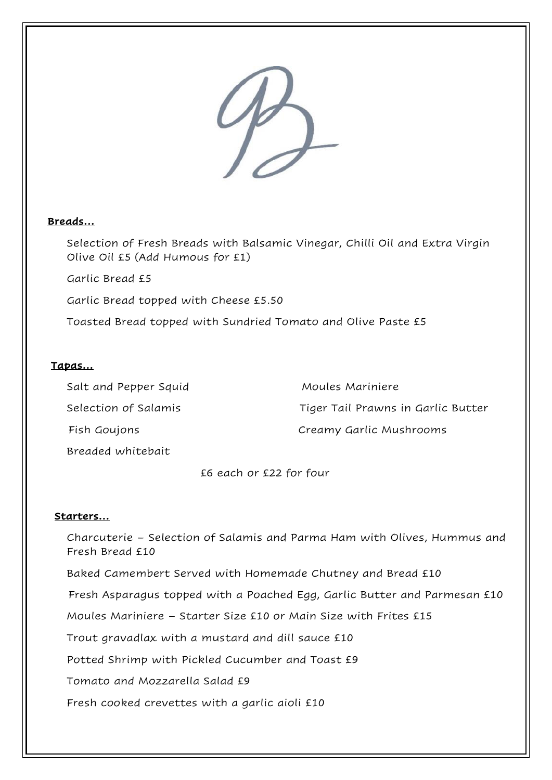

# **Breads…**

Selection of Fresh Breads with Balsamic Vinegar, Chilli Oil and Extra Virgin Olive Oil £5 (Add Humous for £1)

Garlic Bread £5

Garlic Bread topped with Cheese £5.50

Toasted Bread topped with Sundried Tomato and Olive Paste £5

# **Tapas…**

Salt and Pepper Squid Moules Mariniere Selection of Salamis Tiger Tail Prawns in Garlic Butter Fish Goujons Creamy Garlic Mushrooms

Breaded whitebait

£6 each or £22 for four

### **Starters…**

Charcuterie – Selection of Salamis and Parma Ham with Olives, Hummus and Fresh Bread £10

Baked Camembert Served with Homemade Chutney and Bread £10

Fresh Asparagus topped with a Poached Egg, Garlic Butter and Parmesan £10

Moules Mariniere – Starter Size £10 or Main Size with Frites £15

Trout gravadlax with a mustard and dill sauce £10

Potted Shrimp with Pickled Cucumber and Toast £9

Tomato and Mozzarella Salad £9

Fresh cooked crevettes with a garlic aioli £10